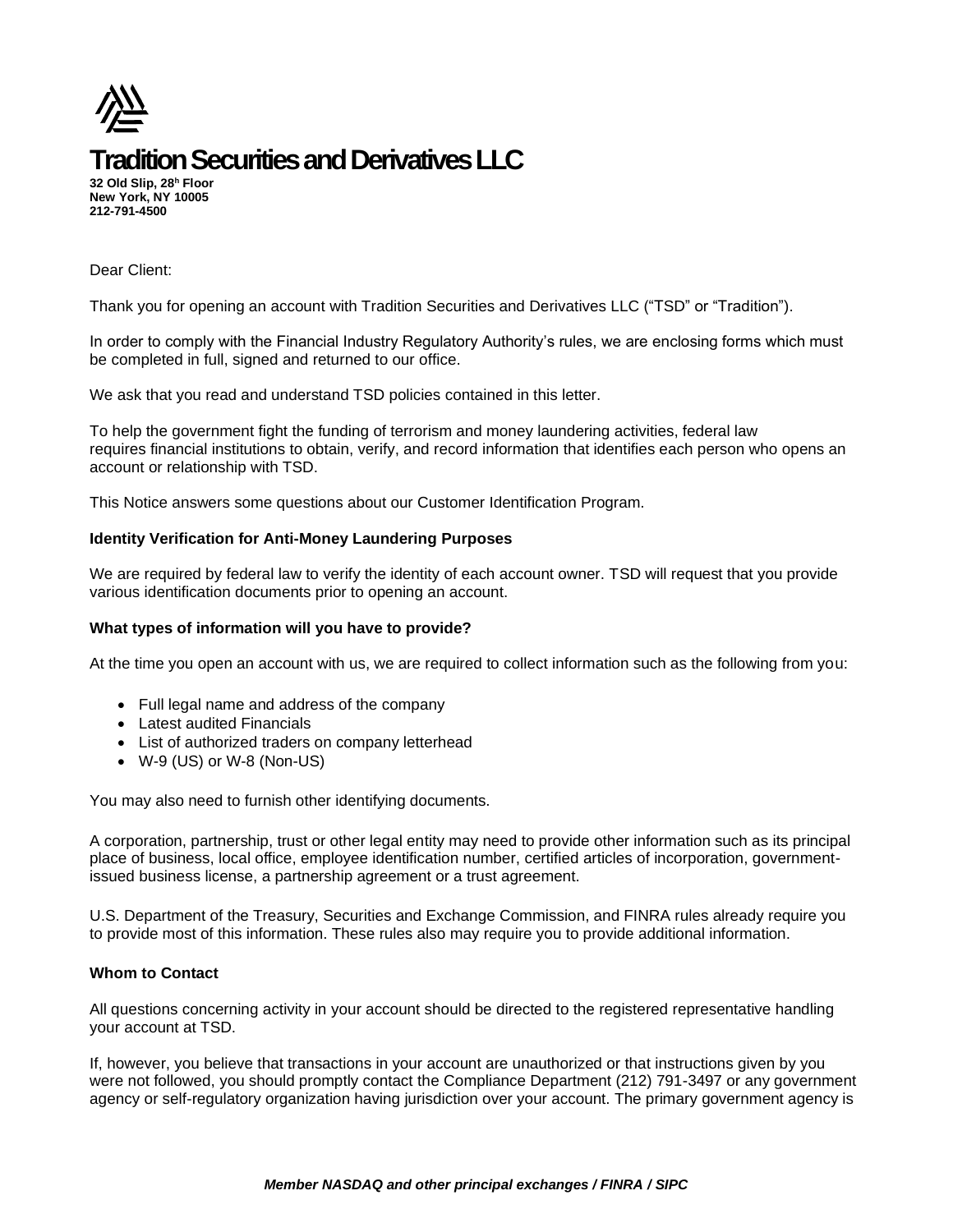

**32 Old Slip, 28<sup>h</sup> Floor New York, NY 10005 212-791-4500**

Dear Client:

Thank you for opening an account with Tradition Securities and Derivatives LLC ("TSD" or "Tradition").

In order to comply with the Financial Industry Regulatory Authority's rules, we are enclosing forms which must be completed in full, signed and returned to our office.

We ask that you read and understand TSD policies contained in this letter.

To help the government fight the funding of terrorism and money laundering activities, federal law requires financial institutions to obtain, verify, and record information that identifies each person who opens an account or relationship with TSD.

This Notice answers some questions about our Customer Identification Program.

#### **Identity Verification for Anti-Money Laundering Purposes**

We are required by federal law to verify the identity of each account owner. TSD will request that you provide various identification documents prior to opening an account.

#### **What types of information will you have to provide?**

At the time you open an account with us, we are required to collect information such as the following from you:

- Full legal name and address of the company
- Latest audited Financials
- List of authorized traders on company letterhead
- W-9 (US) or W-8 (Non-US)

You may also need to furnish other identifying documents.

A corporation, partnership, trust or other legal entity may need to provide other information such as its principal place of business, local office, employee identification number, certified articles of incorporation, governmentissued business license, a partnership agreement or a trust agreement.

U.S. Department of the Treasury, Securities and Exchange Commission, and FINRA rules already require you to provide most of this information. These rules also may require you to provide additional information.

#### **Whom to Contact**

All questions concerning activity in your account should be directed to the registered representative handling your account at TSD.

If, however, you believe that transactions in your account are unauthorized or that instructions given by you were not followed, you should promptly contact the Compliance Department (212) 791-3497 or any government agency or self-regulatory organization having jurisdiction over your account. The primary government agency is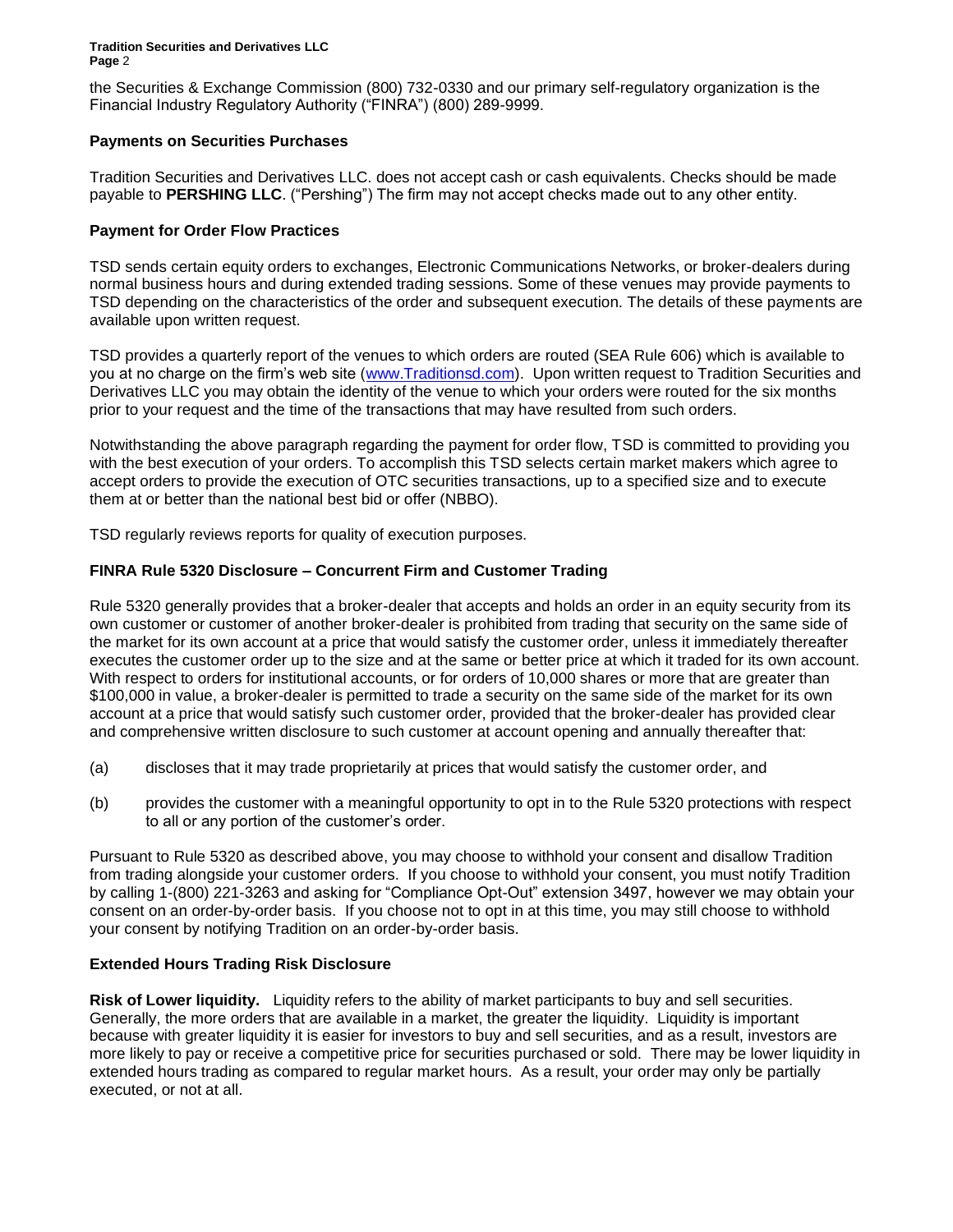the Securities & Exchange Commission (800) 732-0330 and our primary self-regulatory organization is the Financial Industry Regulatory Authority ("FINRA") (800) 289-9999.

## **Payments on Securities Purchases**

Tradition Securities and Derivatives LLC. does not accept cash or cash equivalents. Checks should be made payable to **PERSHING LLC**. ("Pershing") The firm may not accept checks made out to any other entity.

## **Payment for Order Flow Practices**

TSD sends certain equity orders to exchanges, Electronic Communications Networks, or broker-dealers during normal business hours and during extended trading sessions. Some of these venues may provide payments to TSD depending on the characteristics of the order and subsequent execution. The details of these payments are available upon written request.

TSD provides a quarterly report of the venues to which orders are routed (SEA Rule 606) which is available to you at no charge on the firm's web site [\(www.Traditionsd.com\)](http://www.traditionsd.com/). Upon written request to Tradition Securities and Derivatives LLC you may obtain the identity of the venue to which your orders were routed for the six months prior to your request and the time of the transactions that may have resulted from such orders.

Notwithstanding the above paragraph regarding the payment for order flow, TSD is committed to providing you with the best execution of your orders. To accomplish this TSD selects certain market makers which agree to accept orders to provide the execution of OTC securities transactions, up to a specified size and to execute them at or better than the national best bid or offer (NBBO).

TSD regularly reviews reports for quality of execution purposes.

## **FINRA Rule 5320 Disclosure – Concurrent Firm and Customer Trading**

Rule 5320 generally provides that a broker-dealer that accepts and holds an order in an equity security from its own customer or customer of another broker-dealer is prohibited from trading that security on the same side of the market for its own account at a price that would satisfy the customer order, unless it immediately thereafter executes the customer order up to the size and at the same or better price at which it traded for its own account. With respect to orders for institutional accounts, or for orders of 10,000 shares or more that are greater than \$100,000 in value, a broker-dealer is permitted to trade a security on the same side of the market for its own account at a price that would satisfy such customer order, provided that the broker-dealer has provided clear and comprehensive written disclosure to such customer at account opening and annually thereafter that:

- (a) discloses that it may trade proprietarily at prices that would satisfy the customer order, and
- (b) provides the customer with a meaningful opportunity to opt in to the Rule 5320 protections with respect to all or any portion of the customer's order.

Pursuant to Rule 5320 as described above, you may choose to withhold your consent and disallow Tradition from trading alongside your customer orders. If you choose to withhold your consent, you must notify Tradition by calling 1-(800) 221-3263 and asking for "Compliance Opt-Out" extension 3497, however we may obtain your consent on an order-by-order basis. If you choose not to opt in at this time, you may still choose to withhold your consent by notifying Tradition on an order-by-order basis.

# **Extended Hours Trading Risk Disclosure**

**Risk of Lower liquidity.** Liquidity refers to the ability of market participants to buy and sell securities. Generally, the more orders that are available in a market, the greater the liquidity. Liquidity is important because with greater liquidity it is easier for investors to buy and sell securities, and as a result, investors are more likely to pay or receive a competitive price for securities purchased or sold. There may be lower liquidity in extended hours trading as compared to regular market hours. As a result, your order may only be partially executed, or not at all.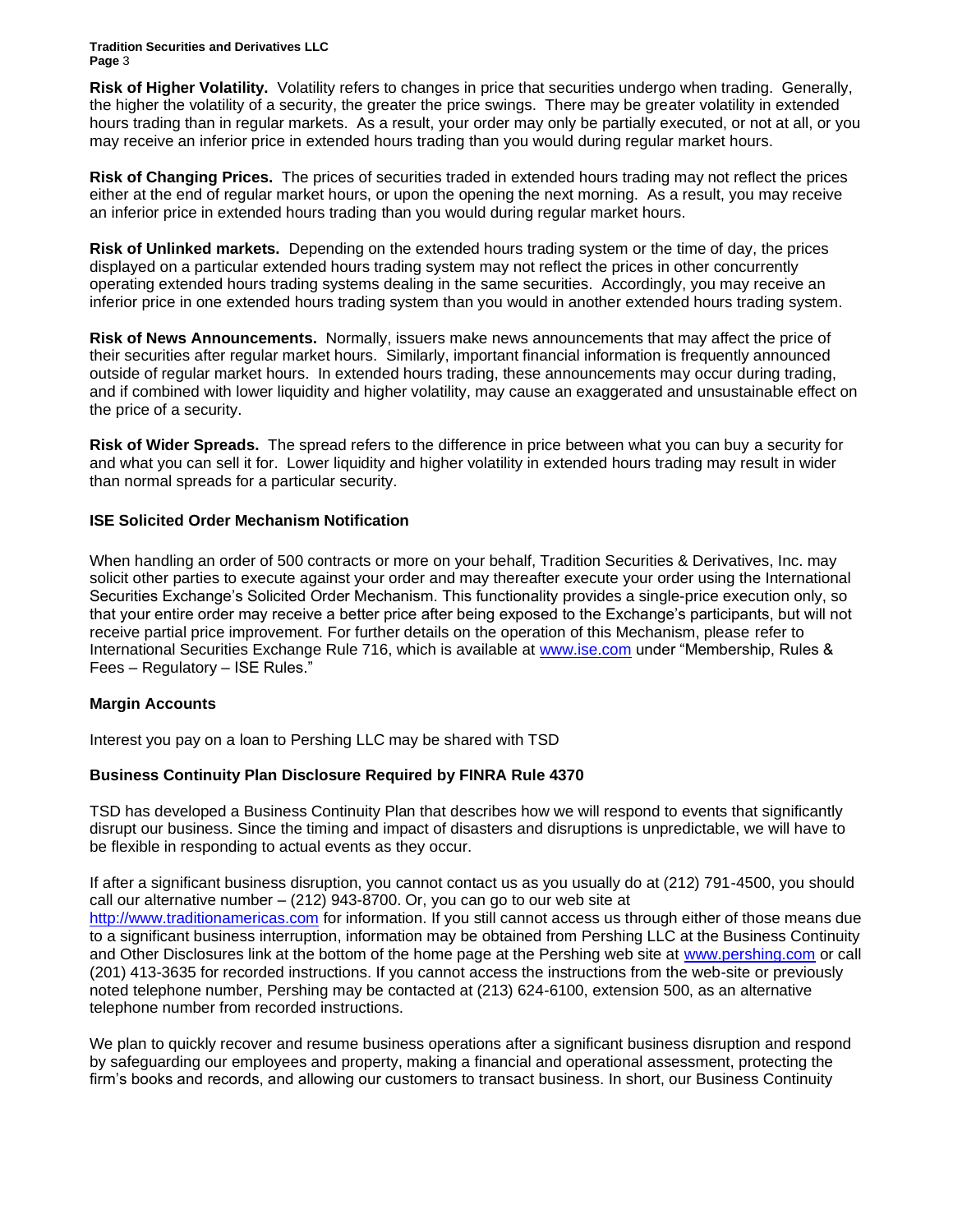**Risk of Higher Volatility.** Volatility refers to changes in price that securities undergo when trading. Generally, the higher the volatility of a security, the greater the price swings. There may be greater volatility in extended hours trading than in regular markets. As a result, your order may only be partially executed, or not at all, or you may receive an inferior price in extended hours trading than you would during regular market hours.

**Risk of Changing Prices.** The prices of securities traded in extended hours trading may not reflect the prices either at the end of regular market hours, or upon the opening the next morning. As a result, you may receive an inferior price in extended hours trading than you would during regular market hours.

**Risk of Unlinked markets.** Depending on the extended hours trading system or the time of day, the prices displayed on a particular extended hours trading system may not reflect the prices in other concurrently operating extended hours trading systems dealing in the same securities. Accordingly, you may receive an inferior price in one extended hours trading system than you would in another extended hours trading system.

**Risk of News Announcements.** Normally, issuers make news announcements that may affect the price of their securities after regular market hours. Similarly, important financial information is frequently announced outside of regular market hours. In extended hours trading, these announcements may occur during trading, and if combined with lower liquidity and higher volatility, may cause an exaggerated and unsustainable effect on the price of a security.

**Risk of Wider Spreads.** The spread refers to the difference in price between what you can buy a security for and what you can sell it for. Lower liquidity and higher volatility in extended hours trading may result in wider than normal spreads for a particular security.

## **ISE Solicited Order Mechanism Notification**

When handling an order of 500 contracts or more on your behalf, Tradition Securities & Derivatives, Inc. may solicit other parties to execute against your order and may thereafter execute your order using the International Securities Exchange's Solicited Order Mechanism. This functionality provides a single-price execution only, so that your entire order may receive a better price after being exposed to the Exchange's participants, but will not receive partial price improvement. For further details on the operation of this Mechanism, please refer to International Securities Exchange Rule 716, which is available at [www.ise.com](http://www.ise.com/) under "Membership, Rules & Fees – Regulatory – ISE Rules."

#### **Margin Accounts**

Interest you pay on a loan to Pershing LLC may be shared with TSD

# **Business Continuity Plan Disclosure Required by FINRA Rule 4370**

TSD has developed a Business Continuity Plan that describes how we will respond to events that significantly disrupt our business. Since the timing and impact of disasters and disruptions is unpredictable, we will have to be flexible in responding to actual events as they occur.

If after a significant business disruption, you cannot contact us as you usually do at (212) 791-4500, you should call our alternative number – (212) 943-8700. Or, you can go to our web site at [http://www.traditionamericas.com](http://www.traditionamericas.com/) for information. If you still cannot access us through either of those means due to a significant business interruption, information may be obtained from Pershing LLC at the Business Continuity and Other Disclosures link at the bottom of the home page at the Pershing web site at [www.pershing.com](http://www.pershing.com/) or call (201) 413-3635 for recorded instructions. If you cannot access the instructions from the web-site or previously noted telephone number, Pershing may be contacted at (213) 624-6100, extension 500, as an alternative telephone number from recorded instructions.

We plan to quickly recover and resume business operations after a significant business disruption and respond by safeguarding our employees and property, making a financial and operational assessment, protecting the firm's books and records, and allowing our customers to transact business. In short, our Business Continuity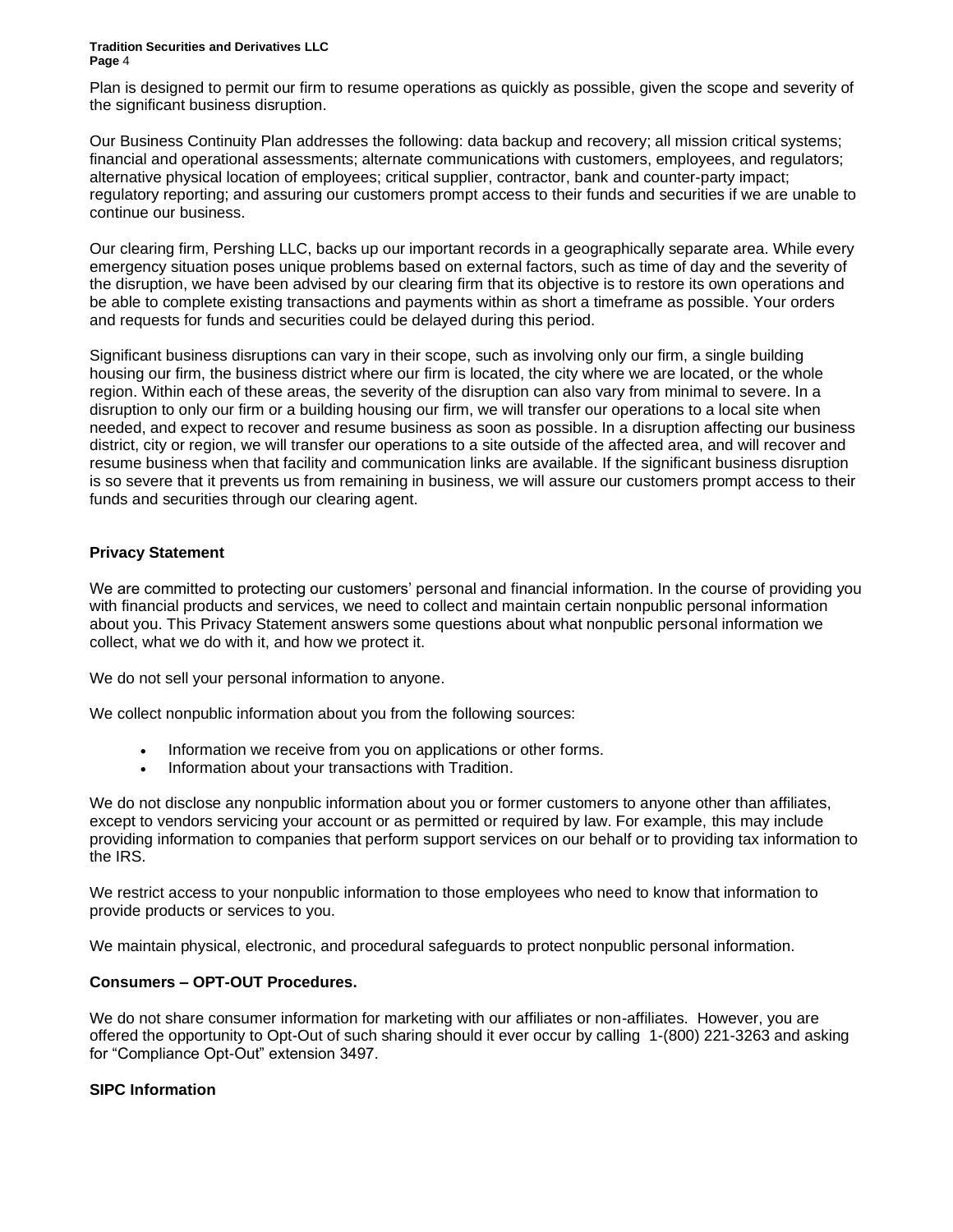Plan is designed to permit our firm to resume operations as quickly as possible, given the scope and severity of the significant business disruption.

Our Business Continuity Plan addresses the following: data backup and recovery; all mission critical systems; financial and operational assessments; alternate communications with customers, employees, and regulators; alternative physical location of employees; critical supplier, contractor, bank and counter-party impact; regulatory reporting; and assuring our customers prompt access to their funds and securities if we are unable to continue our business.

Our clearing firm, Pershing LLC, backs up our important records in a geographically separate area. While every emergency situation poses unique problems based on external factors, such as time of day and the severity of the disruption, we have been advised by our clearing firm that its objective is to restore its own operations and be able to complete existing transactions and payments within as short a timeframe as possible. Your orders and requests for funds and securities could be delayed during this period.

Significant business disruptions can vary in their scope, such as involving only our firm, a single building housing our firm, the business district where our firm is located, the city where we are located, or the whole region. Within each of these areas, the severity of the disruption can also vary from minimal to severe. In a disruption to only our firm or a building housing our firm, we will transfer our operations to a local site when needed, and expect to recover and resume business as soon as possible. In a disruption affecting our business district, city or region, we will transfer our operations to a site outside of the affected area, and will recover and resume business when that facility and communication links are available. If the significant business disruption is so severe that it prevents us from remaining in business, we will assure our customers prompt access to their funds and securities through our clearing agent.

# **Privacy Statement**

We are committed to protecting our customers' personal and financial information. In the course of providing you with financial products and services, we need to collect and maintain certain nonpublic personal information about you. This Privacy Statement answers some questions about what nonpublic personal information we collect, what we do with it, and how we protect it.

We do not sell your personal information to anyone.

We collect nonpublic information about you from the following sources:

- Information we receive from you on applications or other forms.
- Information about your transactions with Tradition.

We do not disclose any nonpublic information about you or former customers to anyone other than affiliates, except to vendors servicing your account or as permitted or required by law. For example, this may include providing information to companies that perform support services on our behalf or to providing tax information to the IRS.

We restrict access to your nonpublic information to those employees who need to know that information to provide products or services to you.

We maintain physical, electronic, and procedural safeguards to protect nonpublic personal information.

# **Consumers – OPT-OUT Procedures.**

We do not share consumer information for marketing with our affiliates or non-affiliates. However, you are offered the opportunity to Opt-Out of such sharing should it ever occur by calling 1-(800) 221-3263 and asking for "Compliance Opt-Out" extension 3497.

# **SIPC Information**